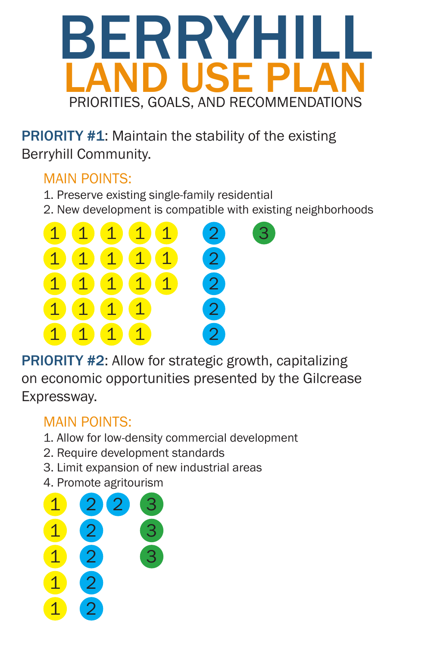# BERRY HALL LAND USE PLAN PRIORITIES, GOALS, AND RECOMMENDATIONS

**PRIORITY #1:** Maintain the stability of the existing Berryhill Community.

### MAIN POINTS:

PRIORITY #2: Allow for strategic growth, capitalizing on economic opportunities presented by the Gilcrease Expressway.

- 1. Preserve existing single-family residential
- 2. New development is compatible with existing neighborhoods

### MAIN POINTS:

1. Allow for low-density commercial development

- 2. Require development standards
- 3. Limit expansion of new industrial areas
- 4. Promote agritourism